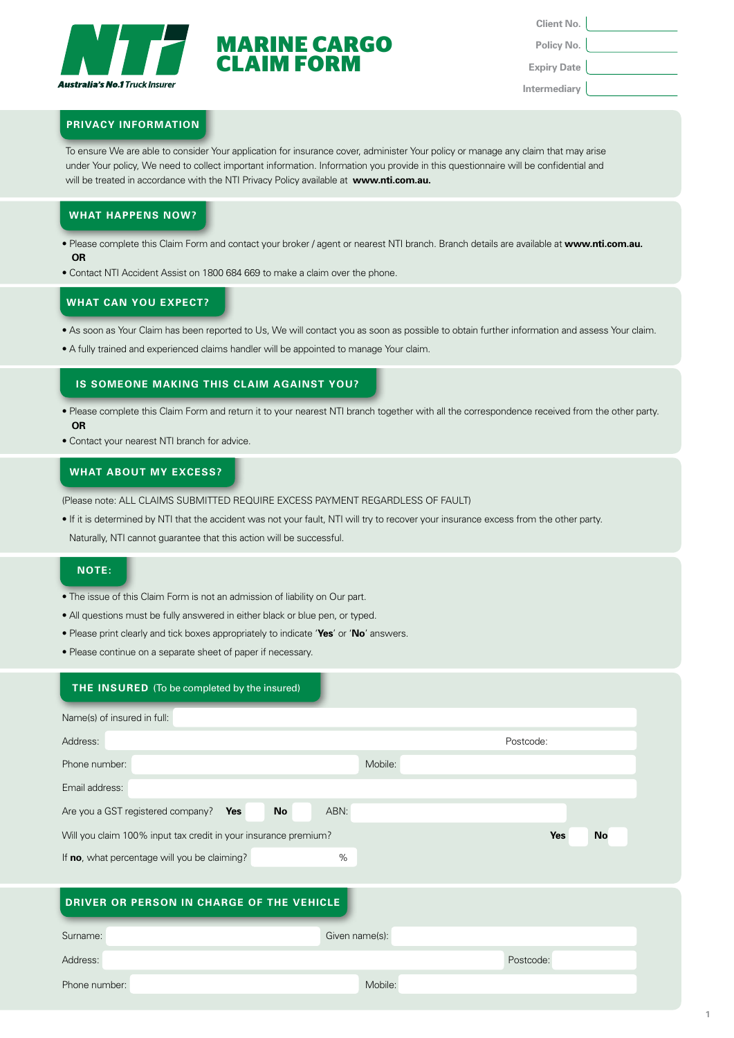

# **MARINE CARGO CLAIM FORM**

| Client No.   |  |
|--------------|--|
| Policy No.   |  |
| Expiry Date  |  |
| Intermediary |  |

## **PRIVACY INFORMATION**

To ensure We are able to consider Your application for insurance cover, administer Your policy or manage any claim that may arise under Your policy, We need to collect important information. Information you provide in this questionnaire will be confidential and will be treated in accordance with the NTI Privacy Policy available at **www.nti.com.au.**

#### **what happens now?**

- Please complete this Claim Form and contact your broker / agent or nearest NTI branch. Branch details are available at **www.nti.com.au. OR**
- Contact NTI Accident Assist on 1800 684 669 to make a claim over the phone.

#### **what can you expect?**

- As soon as Your Claim has been reported to Us, We will contact you as soon as possible to obtain further information and assess Your claim.
- A fully trained and experienced claims handler will be appointed to manage Your claim.

#### **is someone making this claim against you?**

- Please complete this Claim Form and return it to your nearest NTI branch together with all the correspondence received from the other party. **OR**
- Contact your nearest NTI branch for advice.

#### **what about my excess?**

(Please note: ALL CLAIMS SUBMITTED REQUIRE EXCESS PAYMENT REGARDLESS OF FAULT)

• If it is determined by NTI that the accident was not your fault, NTI will try to recover your insurance excess from the other party. Naturally, NTI cannot guarantee that this action will be successful.

#### **note:**

- The issue of this Claim Form is not an admission of liability on Our part.
- All questions must be fully answered in either black or blue pen, or typed.
- Please print clearly and tick boxes appropriately to indicate '**Yes**' or '**No**' answers.
- Please continue on a separate sheet of paper if necessary.

| <b>THE INSURED</b> (To be completed by the insured)             |                  |
|-----------------------------------------------------------------|------------------|
| Name(s) of insured in full:                                     |                  |
| Address:                                                        | Postcode:        |
| Phone number:                                                   | Mobile:          |
| Email address:                                                  |                  |
| Are you a GST registered company?<br><b>No</b><br>ABN:<br>Yes   |                  |
| Will you claim 100% input tax credit in your insurance premium? | No<br><b>Yes</b> |
| If no, what percentage will you be claiming?<br>$\%$            |                  |
|                                                                 |                  |
| DRIVER OR PERSON IN CHARGE OF THE VEHICLE                       |                  |
|                                                                 |                  |

| Surname:      | Given name(s): |           |
|---------------|----------------|-----------|
| Address:      |                | Postcode: |
| Phone number: | Mobile:        |           |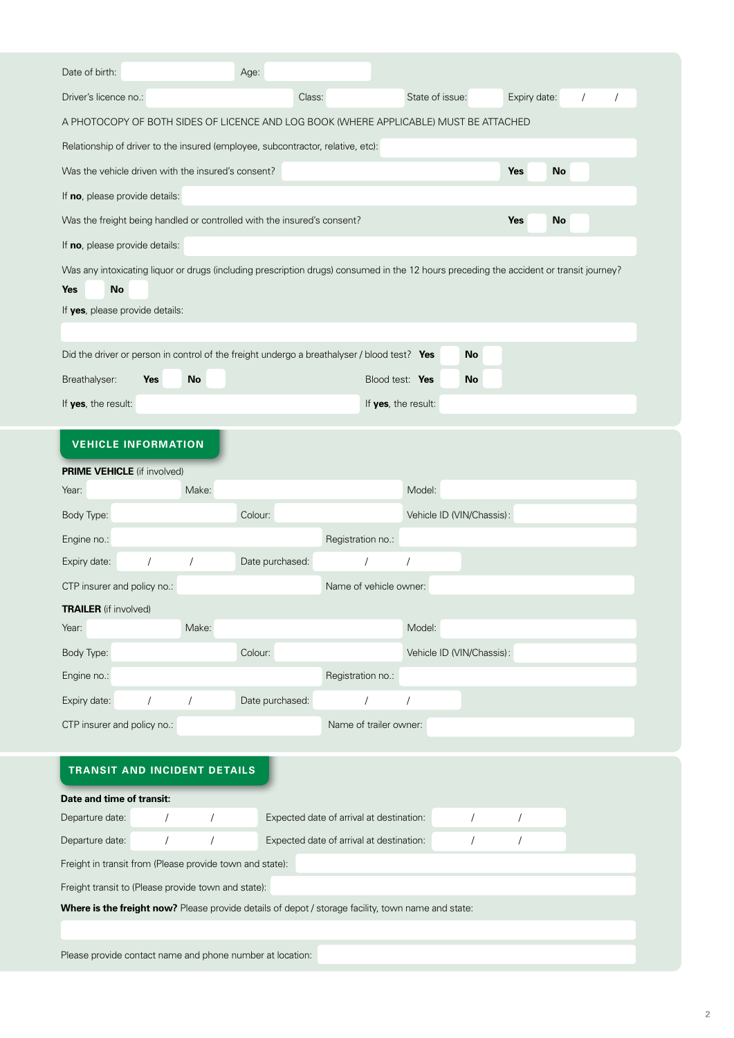| Date of birth:                                                                                                                                                                                 |            |           | Age:            |                                          |                        |                     |                           |            |              |           |  |
|------------------------------------------------------------------------------------------------------------------------------------------------------------------------------------------------|------------|-----------|-----------------|------------------------------------------|------------------------|---------------------|---------------------------|------------|--------------|-----------|--|
| Driver's licence no.:                                                                                                                                                                          |            |           |                 | Class:                                   |                        | State of issue:     |                           |            | Expiry date: |           |  |
| A PHOTOCOPY OF BOTH SIDES OF LICENCE AND LOG BOOK (WHERE APPLICABLE) MUST BE ATTACHED                                                                                                          |            |           |                 |                                          |                        |                     |                           |            |              |           |  |
| Relationship of driver to the insured (employee, subcontractor, relative, etc):                                                                                                                |            |           |                 |                                          |                        |                     |                           |            |              |           |  |
| Was the vehicle driven with the insured's consent?                                                                                                                                             |            |           |                 |                                          |                        |                     |                           |            | <b>Yes</b>   | <b>No</b> |  |
| If no, please provide details:                                                                                                                                                                 |            |           |                 |                                          |                        |                     |                           |            |              |           |  |
| Was the freight being handled or controlled with the insured's consent?                                                                                                                        |            |           |                 |                                          |                        |                     |                           |            | <b>Yes</b>   | No        |  |
| If no, please provide details:                                                                                                                                                                 |            |           |                 |                                          |                        |                     |                           |            |              |           |  |
| Was any intoxicating liquor or drugs (including prescription drugs) consumed in the 12 hours preceding the accident or transit journey?<br>No<br><b>Yes</b><br>If yes, please provide details: |            |           |                 |                                          |                        |                     |                           |            |              |           |  |
| Did the driver or person in control of the freight undergo a breathalyser / blood test? Yes                                                                                                    |            |           |                 |                                          |                        |                     | No                        |            |              |           |  |
| Breathalyser:                                                                                                                                                                                  | <b>Yes</b> | <b>No</b> |                 |                                          | Blood test: Yes        |                     | No                        |            |              |           |  |
| If yes, the result:                                                                                                                                                                            |            |           |                 |                                          |                        | If yes, the result: |                           |            |              |           |  |
|                                                                                                                                                                                                |            |           |                 |                                          |                        |                     |                           |            |              |           |  |
| <b>VEHICLE INFORMATION</b>                                                                                                                                                                     |            |           |                 |                                          |                        |                     |                           |            |              |           |  |
| <b>PRIME VEHICLE</b> (if involved)                                                                                                                                                             |            |           |                 |                                          |                        |                     |                           |            |              |           |  |
| Year:                                                                                                                                                                                          |            | Make:     |                 |                                          |                        | Model:              |                           |            |              |           |  |
| Body Type:                                                                                                                                                                                     |            |           | Colour:         |                                          |                        |                     | Vehicle ID (VIN/Chassis): |            |              |           |  |
| Engine no.:                                                                                                                                                                                    |            | $\prime$  | Date purchased: |                                          | Registration no.:      |                     |                           |            |              |           |  |
| Expiry date:<br>CTP insurer and policy no.:                                                                                                                                                    |            |           |                 |                                          | Name of vehicle owner: |                     |                           |            |              |           |  |
| <b>TRAILER</b> (if involved)                                                                                                                                                                   |            |           |                 |                                          |                        |                     |                           |            |              |           |  |
| Year:                                                                                                                                                                                          |            | Make:     |                 |                                          |                        | Model:              |                           |            |              |           |  |
| Body Type:                                                                                                                                                                                     |            |           | Colour:         |                                          |                        |                     | Vehicle ID (VIN/Chassis): |            |              |           |  |
| Engine no.:                                                                                                                                                                                    |            |           |                 |                                          | Registration no.:      |                     |                           |            |              |           |  |
| Expiry date:                                                                                                                                                                                   |            |           | Date purchased: |                                          |                        |                     |                           |            |              |           |  |
| CTP insurer and policy no.:                                                                                                                                                                    |            |           |                 |                                          | Name of trailer owner: |                     |                           |            |              |           |  |
| <b>TRANSIT AND INCIDENT DETAILS</b>                                                                                                                                                            |            |           |                 |                                          |                        |                     |                           |            |              |           |  |
| Date and time of transit:                                                                                                                                                                      |            |           |                 |                                          |                        |                     |                           |            |              |           |  |
| Departure date:                                                                                                                                                                                |            |           |                 | Expected date of arrival at destination: |                        |                     |                           |            |              |           |  |
| Departure date:                                                                                                                                                                                | $\prime$   |           |                 | Expected date of arrival at destination: |                        |                     |                           | $\sqrt{2}$ |              |           |  |
| Freight in transit from (Please provide town and state):                                                                                                                                       |            |           |                 |                                          |                        |                     |                           |            |              |           |  |
| Freight transit to (Please provide town and state):<br>Where is the freight now? Please provide details of depot / storage facility, town name and state:                                      |            |           |                 |                                          |                        |                     |                           |            |              |           |  |
|                                                                                                                                                                                                |            |           |                 |                                          |                        |                     |                           |            |              |           |  |
| Please provide contact name and phone number at location:                                                                                                                                      |            |           |                 |                                          |                        |                     |                           |            |              |           |  |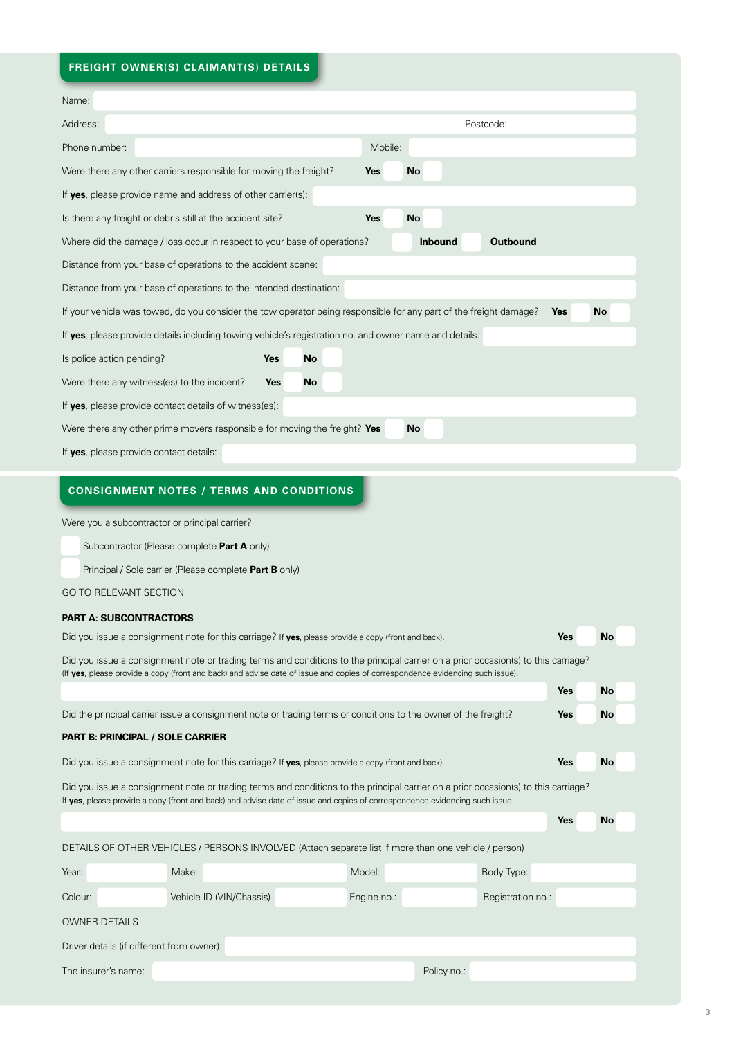## **freight owner(s) claimant(s) details**

| Name:                                                                                                             |            |           |            |                |                 |            |           |
|-------------------------------------------------------------------------------------------------------------------|------------|-----------|------------|----------------|-----------------|------------|-----------|
| Address:                                                                                                          |            |           |            |                | Postcode:       |            |           |
| Phone number:                                                                                                     |            |           | Mobile:    |                |                 |            |           |
| Were there any other carriers responsible for moving the freight?                                                 |            |           | <b>Yes</b> | <b>No</b>      |                 |            |           |
| If <b>yes</b> , please provide name and address of other carrier(s):                                              |            |           |            |                |                 |            |           |
| Is there any freight or debris still at the accident site?                                                        |            |           | <b>Yes</b> | <b>No</b>      |                 |            |           |
| Where did the damage / loss occur in respect to your base of operations?                                          |            |           |            | <b>Inbound</b> | <b>Outbound</b> |            |           |
| Distance from your base of operations to the accident scene:                                                      |            |           |            |                |                 |            |           |
| Distance from your base of operations to the intended destination:                                                |            |           |            |                |                 |            |           |
| If your vehicle was towed, do you consider the tow operator being responsible for any part of the freight damage? |            |           |            |                |                 | <b>Yes</b> | <b>No</b> |
| If yes, please provide details including towing vehicle's registration no. and owner name and details:            |            |           |            |                |                 |            |           |
| Is police action pending?                                                                                         | <b>Yes</b> | <b>No</b> |            |                |                 |            |           |
| Were there any witness(es) to the incident?                                                                       | <b>Yes</b> | <b>No</b> |            |                |                 |            |           |
| If <b>yes</b> , please provide contact details of witness(es):                                                    |            |           |            |                |                 |            |           |
| Were there any other prime movers responsible for moving the freight? Yes                                         |            |           |            | <b>No</b>      |                 |            |           |
| If yes, please provide contact details:                                                                           |            |           |            |                |                 |            |           |
|                                                                                                                   |            |           |            |                |                 |            |           |

## **consignment notes / terms and conditions**

Were you a subcontractor or principal carrier?

Subcontractor (Please complete **Part A** only)

Principal / Sole carrier (Please complete **Part B** only)

GO TO RELEVANT SECTION

#### **PART A: SUBCONTRACTORS**

|                                           |                          | Did you issue a consignment note for this carriage? If yes, please provide a copy (front and back).                                                                                                                                                                 |                   | Yes        | <b>No</b> |
|-------------------------------------------|--------------------------|---------------------------------------------------------------------------------------------------------------------------------------------------------------------------------------------------------------------------------------------------------------------|-------------------|------------|-----------|
|                                           |                          | Did you issue a consignment note or trading terms and conditions to the principal carrier on a prior occasion(s) to this carriage?<br>(If yes, please provide a copy (front and back) and advise date of issue and copies of correspondence evidencing such issue). |                   |            |           |
|                                           |                          |                                                                                                                                                                                                                                                                     |                   | <b>Yes</b> | <b>No</b> |
|                                           |                          | Did the principal carrier issue a consignment note or trading terms or conditions to the owner of the freight?                                                                                                                                                      |                   | <b>Yes</b> | <b>No</b> |
| PART B: PRINCIPAL / SOLE CARRIER          |                          |                                                                                                                                                                                                                                                                     |                   |            |           |
|                                           |                          | Did you issue a consignment note for this carriage? If yes, please provide a copy (front and back).                                                                                                                                                                 |                   | <b>Yes</b> | <b>No</b> |
|                                           |                          | Did you issue a consignment note or trading terms and conditions to the principal carrier on a prior occasion(s) to this carriage?<br>If yes, please provide a copy (front and back) and advise date of issue and copies of correspondence evidencing such issue.   |                   |            |           |
|                                           |                          |                                                                                                                                                                                                                                                                     |                   | <b>Yes</b> | <b>No</b> |
|                                           |                          | DETAILS OF OTHER VEHICLES / PERSONS INVOLVED (Attach separate list if more than one vehicle / person)                                                                                                                                                               |                   |            |           |
| Year:                                     | Make:                    | Model:                                                                                                                                                                                                                                                              | Body Type:        |            |           |
| Colour:                                   | Vehicle ID (VIN/Chassis) | Engine no.:                                                                                                                                                                                                                                                         | Registration no.: |            |           |
| <b>OWNER DETAILS</b>                      |                          |                                                                                                                                                                                                                                                                     |                   |            |           |
| Driver details (if different from owner): |                          |                                                                                                                                                                                                                                                                     |                   |            |           |
| The insurer's name:                       |                          |                                                                                                                                                                                                                                                                     | Policy no.:       |            |           |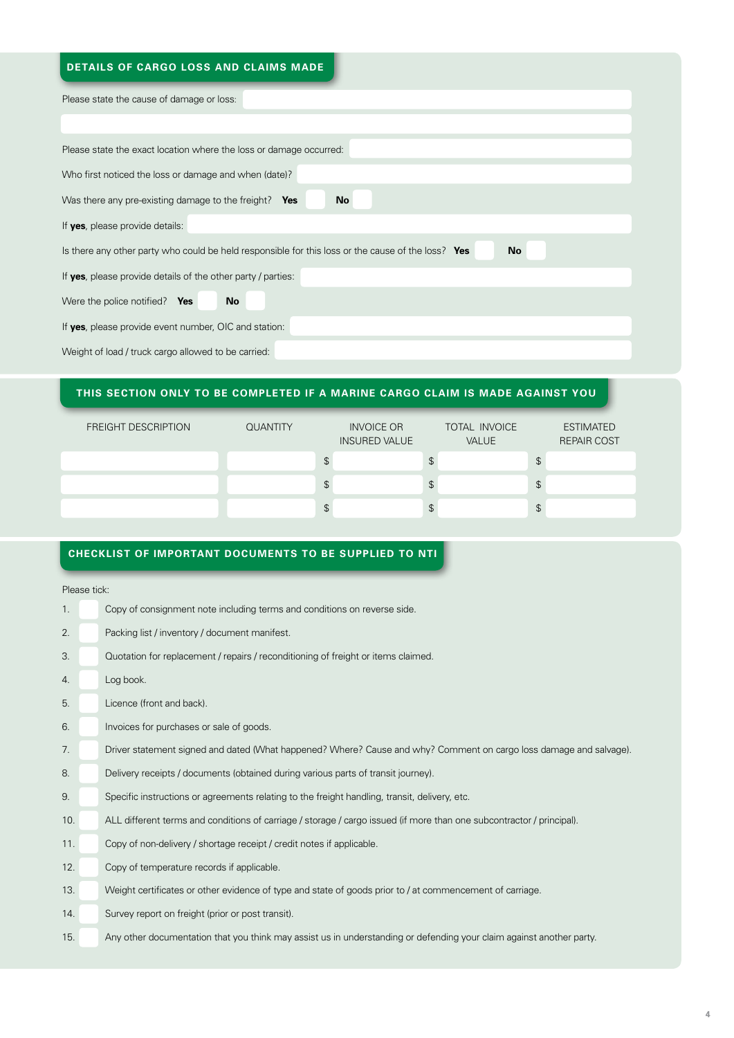# **details of cargo loss and claims made**

| DETAILD OF UAROU LOUD AND ULARNO MADE                                                                    |
|----------------------------------------------------------------------------------------------------------|
| Please state the cause of damage or loss:                                                                |
|                                                                                                          |
| Please state the exact location where the loss or damage occurred:                                       |
| Who first noticed the loss or damage and when (date)?                                                    |
| Was there any pre-existing damage to the freight? $Yes$<br>No                                            |
| If yes, please provide details:                                                                          |
| Is there any other party who could be held responsible for this loss or the cause of the loss? Yes<br>No |
| If yes, please provide details of the other party / parties:                                             |
| Were the police notified? Yes<br><b>No</b>                                                               |
| If yes, please provide event number, OIC and station:                                                    |
| Weight of load / truck cargo allowed to be carried:                                                      |
|                                                                                                          |

## **this section only to be completed if a marine cargo claim is made against you**

| <b>FREIGHT DESCRIPTION</b> | <b>QUANTITY</b> | <b>INVOICE OR</b><br><b>INSURED VALUE</b> | TOTAL INVOICE<br><b>VALUE</b> | <b>ESTIMATED</b><br><b>REPAIR COST</b> |
|----------------------------|-----------------|-------------------------------------------|-------------------------------|----------------------------------------|
|                            |                 | $\mathcal{L}$                             | \$                            | \$                                     |
|                            |                 | $\mathcal{L}$                             | \$                            | \$                                     |
|                            |                 | $\mathcal{L}$                             | $\mathfrak{S}$                | $\mathfrak{S}$                         |

## **checklist of important documents to be supplied to nti**

#### Please tick:

| 1.  | Copy of consignment note including terms and conditions on reverse side.                                              |
|-----|-----------------------------------------------------------------------------------------------------------------------|
| 2.  | Packing list / inventory / document manifest.                                                                         |
| 3.  | Quotation for replacement / repairs / reconditioning of freight or items claimed.                                     |
| 4.  | Log book.                                                                                                             |
| 5.  | Licence (front and back).                                                                                             |
| 6.  | Invoices for purchases or sale of goods.                                                                              |
| 7.  | Driver statement signed and dated (What happened? Where? Cause and why? Comment on cargo loss damage and salvage).    |
| 8.  | Delivery receipts / documents (obtained during various parts of transit journey).                                     |
| 9.  | Specific instructions or agreements relating to the freight handling, transit, delivery, etc.                         |
| 10. | ALL different terms and conditions of carriage / storage / cargo issued (if more than one subcontractor / principal). |
| 11. | Copy of non-delivery / shortage receipt / credit notes if applicable.                                                 |
| 12. | Copy of temperature records if applicable.                                                                            |
| 13. | Weight certificates or other evidence of type and state of goods prior to / at commencement of carriage.              |
| 14. | Survey report on freight (prior or post transit).                                                                     |
| 15. | Any other documentation that you think may assist us in understanding or defending your claim against another party.  |